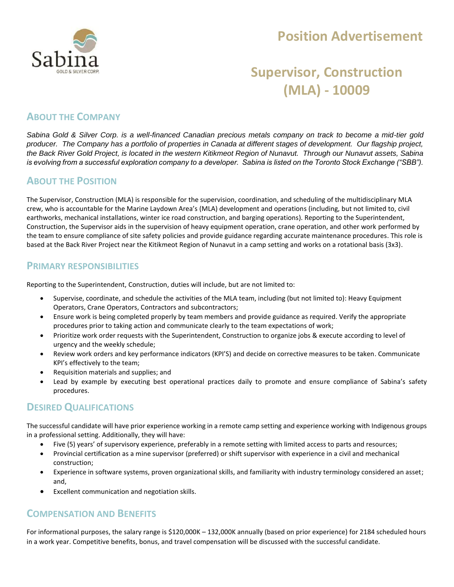

## **Position Advertisement**

# **Supervisor, Construction (MLA) - 10009**

## **ABOUT THE COMPANY**

*Sabina Gold & Silver Corp. is a well-financed Canadian precious metals company on track to become a mid-tier gold producer. The Company has a portfolio of properties in Canada at different stages of development. Our flagship project, the Back River Gold Project, is located in the western Kitikmeot Region of Nunavut. Through our Nunavut assets, Sabina is evolving from a successful exploration company to a developer. Sabina is listed on the Toronto Stock Exchange ("SBB").*

#### **ABOUT THE POSITION**

The Supervisor, Construction (MLA) is responsible for the supervision, coordination, and scheduling of the multidisciplinary MLA crew, who is accountable for the Marine Laydown Area's (MLA) development and operations (including, but not limited to, civil earthworks, mechanical installations, winter ice road construction, and barging operations). Reporting to the Superintendent, Construction, the Supervisor aids in the supervision of heavy equipment operation, crane operation, and other work performed by the team to ensure compliance of site safety policies and provide guidance regarding accurate maintenance procedures. This role is based at the Back River Project near the Kitikmeot Region of Nunavut in a camp setting and works on a rotational basis (3x3).

#### **PRIMARY RESPONSIBILITIES**

Reporting to the Superintendent, Construction, duties will include, but are not limited to:

- Supervise, coordinate, and schedule the activities of the MLA team, including (but not limited to): Heavy Equipment Operators, Crane Operators, Contractors and subcontractors;
- Ensure work is being completed properly by team members and provide guidance as required. Verify the appropriate procedures prior to taking action and communicate clearly to the team expectations of work;
- Prioritize work order requests with the Superintendent, Construction to organize jobs & execute according to level of urgency and the weekly schedule;
- Review work orders and key performance indicators (KPI'S) and decide on corrective measures to be taken. Communicate KPI's effectively to the team;
- Requisition materials and supplies; and
- Lead by example by executing best operational practices daily to promote and ensure compliance of Sabina's safety procedures.

#### **DESIRED QUALIFICATIONS**

The successful candidate will have prior experience working in a remote camp setting and experience working with Indigenous groups in a professional setting. Additionally, they will have:

- Five (5) years' of supervisory experience, preferably in a remote setting with limited access to parts and resources;
- Provincial certification as a mine supervisor (preferred) or shift supervisor with experience in a civil and mechanical construction;
- Experience in software systems, proven organizational skills, and familiarity with industry terminology considered an asset; and,
- Excellent communication and negotiation skills.

#### **COMPENSATION AND BENEFITS**

For informational purposes, the salary range is \$120,000K – 132,000K annually (based on prior experience) for 2184 scheduled hours in a work year. Competitive benefits, bonus, and travel compensation will be discussed with the successful candidate.